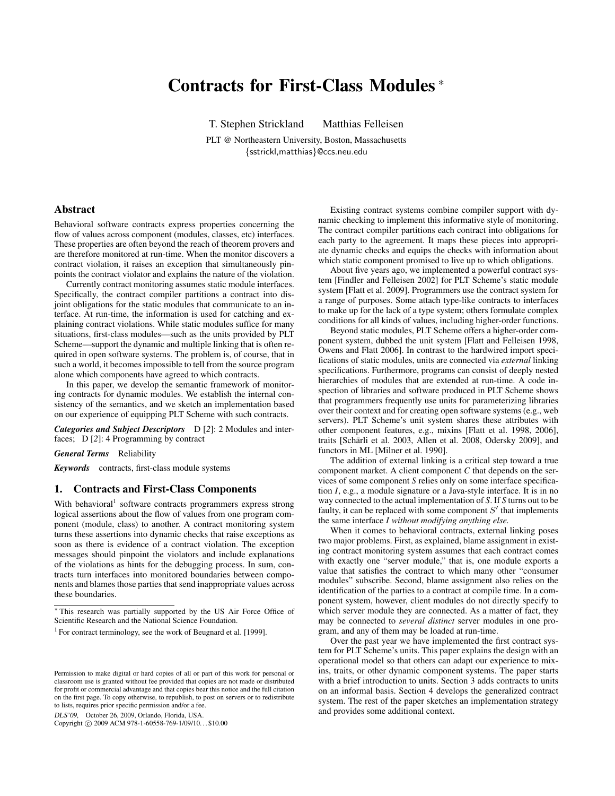# Contracts for First-Class Modules <sup>∗</sup>

T. Stephen Strickland Matthias Felleisen

PLT @ Northeastern University, Boston, Massachusetts {sstrickl,matthias}@ccs.neu.edu

# Abstract

Behavioral software contracts express properties concerning the flow of values across component (modules, classes, etc) interfaces. These properties are often beyond the reach of theorem provers and are therefore monitored at run-time. When the monitor discovers a contract violation, it raises an exception that simultaneously pinpoints the contract violator and explains the nature of the violation.

Currently contract monitoring assumes static module interfaces. Specifically, the contract compiler partitions a contract into disjoint obligations for the static modules that communicate to an interface. At run-time, the information is used for catching and explaining contract violations. While static modules suffice for many situations, first-class modules—such as the units provided by PLT Scheme—support the dynamic and multiple linking that is often required in open software systems. The problem is, of course, that in such a world, it becomes impossible to tell from the source program alone which components have agreed to which contracts.

In this paper, we develop the semantic framework of monitoring contracts for dynamic modules. We establish the internal consistency of the semantics, and we sketch an implementation based on our experience of equipping PLT Scheme with such contracts.

*Categories and Subject Descriptors* D [*2*]: 2 Modules and interfaces; D [*2*]: 4 Programming by contract

*General Terms* Reliability

*Keywords* contracts, first-class module systems

# 1. Contracts and First-Class Components

With behavioral<sup>1</sup> software contracts programmers express strong logical assertions about the flow of values from one program component (module, class) to another. A contract monitoring system turns these assertions into dynamic checks that raise exceptions as soon as there is evidence of a contract violation. The exception messages should pinpoint the violators and include explanations of the violations as hints for the debugging process. In sum, contracts turn interfaces into monitored boundaries between components and blames those parties that send inappropriate values across these boundaries.

DLS'09, October 26, 2009, Orlando, Florida, USA.

Copyright © 2009 ACM 978-1-60558-769-1/09/10... \$10.00

Existing contract systems combine compiler support with dynamic checking to implement this informative style of monitoring. The contract compiler partitions each contract into obligations for each party to the agreement. It maps these pieces into appropriate dynamic checks and equips the checks with information about which static component promised to live up to which obligations.

About five years ago, we implemented a powerful contract system [Findler and Felleisen 2002] for PLT Scheme's static module system [Flatt et al. 2009]. Programmers use the contract system for a range of purposes. Some attach type-like contracts to interfaces to make up for the lack of a type system; others formulate complex conditions for all kinds of values, including higher-order functions.

Beyond static modules, PLT Scheme offers a higher-order component system, dubbed the unit system [Flatt and Felleisen 1998, Owens and Flatt 2006]. In contrast to the hardwired import specifications of static modules, units are connected via *external* linking specifications. Furthermore, programs can consist of deeply nested hierarchies of modules that are extended at run-time. A code inspection of libraries and software produced in PLT Scheme shows that programmers frequently use units for parameterizing libraries over their context and for creating open software systems (e.g., web servers). PLT Scheme's unit system shares these attributes with other component features, e.g., mixins [Flatt et al. 1998, 2006], traits [Schärli et al. 2003, Allen et al. 2008, Odersky 2009], and functors in ML [Milner et al. 1990].

The addition of external linking is a critical step toward a true component market. A client component *C* that depends on the services of some component *S* relies only on some interface specification *I*, e.g., a module signature or a Java-style interface. It is in no way connected to the actual implementation of *S*. If *S* turns out to be faulty, it can be replaced with some component  $S'$  that implements the same interface *I without modifying anything else.*

When it comes to behavioral contracts, external linking poses two major problems. First, as explained, blame assignment in existing contract monitoring system assumes that each contract comes with exactly one "server module," that is, one module exports a value that satisfies the contract to which many other "consumer modules" subscribe. Second, blame assignment also relies on the identification of the parties to a contract at compile time. In a component system, however, client modules do not directly specify to which server module they are connected. As a matter of fact, they may be connected to *several distinct* server modules in one program, and any of them may be loaded at run-time.

Over the past year we have implemented the first contract system for PLT Scheme's units. This paper explains the design with an operational model so that others can adapt our experience to mixins, traits, or other dynamic component systems. The paper starts with a brief introduction to units. Section 3 adds contracts to units on an informal basis. Section 4 develops the generalized contract system. The rest of the paper sketches an implementation strategy and provides some additional context.

<sup>∗</sup> This research was partially supported by the US Air Force Office of Scientific Research and the National Science Foundation.

<sup>&</sup>lt;sup>1</sup> For contract terminology, see the work of Beugnard et al. [1999].

Permission to make digital or hard copies of all or part of this work for personal or classroom use is granted without fee provided that copies are not made or distributed for profit or commercial advantage and that copies bear this notice and the full citation on the first page. To copy otherwise, to republish, to post on servers or to redistribute to lists, requires prior specific permission and/or a fee.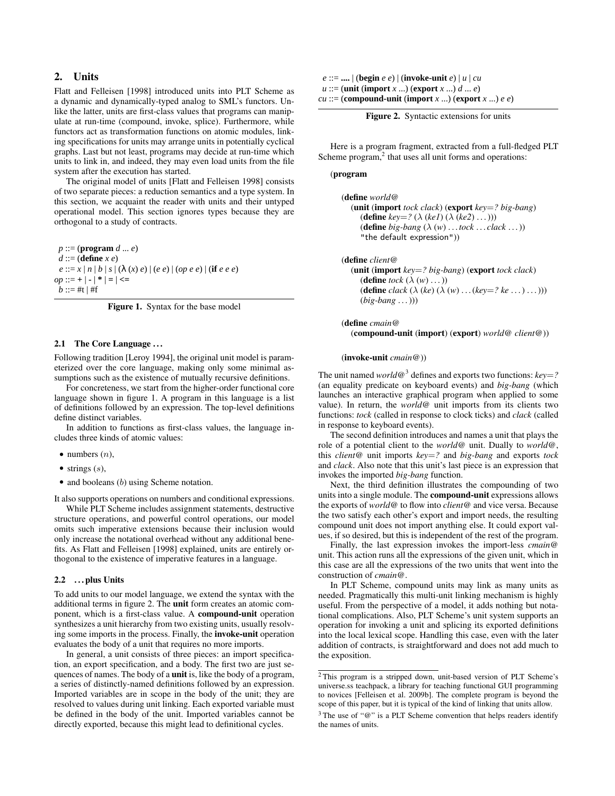# 2. Units

Flatt and Felleisen [1998] introduced units into PLT Scheme as a dynamic and dynamically-typed analog to SML's functors. Unlike the latter, units are first-class values that programs can manipulate at run-time (compound, invoke, splice). Furthermore, while functors act as transformation functions on atomic modules, linking specifications for units may arrange units in potentially cyclical graphs. Last but not least, programs may decide at run-time which units to link in, and indeed, they may even load units from the file system after the execution has started.

The original model of units [Flatt and Felleisen 1998] consists of two separate pieces: a reduction semantics and a type system. In this section, we acquaint the reader with units and their untyped operational model. This section ignores types because they are orthogonal to a study of contracts.

*p* ::= (**program** *d* ... *e*)  $d ::=$  (**define**  $x e$ )  $e ::= x | n | b | s | (\lambda(x) e) | (e e) | (ope e) |$  (**if**  $e e e)$ *op* ::= **+** | **-** | **\*** | **=** | **<=**  $b ::= #t | #f$ 



#### 2.1 The Core Language ...

Following tradition [Leroy 1994], the original unit model is parameterized over the core language, making only some minimal assumptions such as the existence of mutually recursive definitions.

For concreteness, we start from the higher-order functional core language shown in figure 1. A program in this language is a list of definitions followed by an expression. The top-level definitions define distinct variables.

In addition to functions as first-class values, the language includes three kinds of atomic values:

- numbers  $(n)$ ,
- strings  $(s)$ ,
- and booleans (b) using Scheme notation.

It also supports operations on numbers and conditional expressions. While PLT Scheme includes assignment statements, destructive structure operations, and powerful control operations, our model omits such imperative extensions because their inclusion would only increase the notational overhead without any additional benefits. As Flatt and Felleisen [1998] explained, units are entirely orthogonal to the existence of imperative features in a language.

#### 2.2 ... plus Units

To add units to our model language, we extend the syntax with the additional terms in figure 2. The unit form creates an atomic component, which is a first-class value. A compound-unit operation synthesizes a unit hierarchy from two existing units, usually resolving some imports in the process. Finally, the invoke-unit operation evaluates the body of a unit that requires no more imports.

In general, a unit consists of three pieces: an import specification, an export specification, and a body. The first two are just sequences of names. The body of a unit is, like the body of a program, a series of distinctly-named definitions followed by an expression. Imported variables are in scope in the body of the unit; they are resolved to values during unit linking. Each exported variable must be defined in the body of the unit. Imported variables cannot be directly exported, because this might lead to definitional cycles.

*e* ::= **....** | (**begin** *e e*) | (**invoke-unit** *e*) | *u* | *cu u* ::= (**unit** (**import** *x* ...) (**export** *x* ...) *d* ... *e*) *cu* ::= (**compound-unit** (**import** *x* ...) (**export** *x* ...) *e e*)

Figure 2. Syntactic extensions for units

Here is a program fragment, extracted from a full-fledged PLT Scheme program, $2$  that uses all unit forms and operations:

#### (program

```
(define world@
   (unit (import tock clack) (export key=? big-bang)
      (define key = ? (\lambda (ke1) (\lambda (ke2) ...)(\text{define } big\text{-}bang (\lambda (w) \dots \text{tock} \dots \text{clack} \dots))"the default expression"))
```

```
(define client@
   (unit (import key=? big-bang) (export tock clack)
      (define tock (\lambda(w) \dots))
      (define clack (λ (ke) (λ (w) . . . (key=? ke . . . ) . . . )))
     (big-bang . . . )))
```
(define *cmain@* (compound-unit (import) (export) *world@ client@*))

(invoke-unit *cmain@*))

The unit named *world@*<sup>3</sup> defines and exports two functions: *key*=*?* (an equality predicate on keyboard events) and *big-bang* (which launches an interactive graphical program when applied to some value). In return, the *world@* unit imports from its clients two functions: *tock* (called in response to clock ticks) and *clack* (called in response to keyboard events).

The second definition introduces and names a unit that plays the role of a potential client to the *world@* unit. Dually to *world@*, this *client@* unit imports *key*=*?* and *big-bang* and exports *tock* and *clack*. Also note that this unit's last piece is an expression that invokes the imported *big-bang* function.

Next, the third definition illustrates the compounding of two units into a single module. The compound-unit expressions allows the exports of *world@* to flow into *client@* and vice versa. Because the two satisfy each other's export and import needs, the resulting compound unit does not import anything else. It could export values, if so desired, but this is independent of the rest of the program.

Finally, the last expression invokes the import-less *cmain@* unit. This action runs all the expressions of the given unit, which in this case are all the expressions of the two units that went into the construction of *cmain@*.

In PLT Scheme, compound units may link as many units as needed. Pragmatically this multi-unit linking mechanism is highly useful. From the perspective of a model, it adds nothing but notational complications. Also, PLT Scheme's unit system supports an operation for invoking a unit and splicing its exported definitions into the local lexical scope. Handling this case, even with the later addition of contracts, is straightforward and does not add much to the exposition.

<sup>2</sup> This program is a stripped down, unit-based version of PLT Scheme's universe.ss teachpack, a library for teaching functional GUI programming to novices [Felleisen et al. 2009b]. The complete program is beyond the scope of this paper, but it is typical of the kind of linking that units allow.

 $3$  The use of "@" is a PLT Scheme convention that helps readers identify the names of units.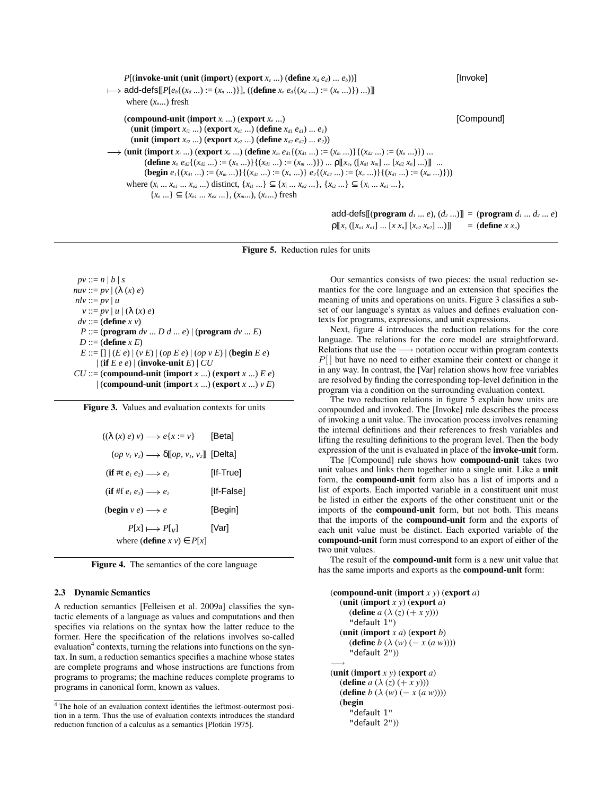

add-defs[[(**program** *d1* ... *e*), (*d2* ...) ]] = (**program** *d1* ... *d2* ... *e*)  $\rho[[x, ([x_{o1} x_{n1}] ... [x x_n] [x_{o2} x_{n2}] ...)]] = (\text{define } x x_n)$ 

Figure 5. Reduction rules for units

 $pv ::= n | b | s$ *nuv* ::=  $pv$   $(\lambda(x) e)$  $nlv ::= pv \mid u$  $v ::= pv \mid u \mid (\lambda(x) e)$  $dv ::=$  (**define**  $x v$ ) *P* ::= (**program** *dv* ... *D d* ... *e*) | (**program** *dv* ... *E*)  $D ::=$  (**define**  $x E$ ) *E* ::= [] | (*E e*) | (*v E*) | (*op E e*) | (*op v E*) | (**begin** *E e*) | (**if** *E e e*) | (**invoke-unit** *E*) | *CU*  $CU ::=$  (**compound-unit** (**import** *x* ...) (**export** *x* ...)  $E e$ )  $\vert$  (**compound-unit** (**import** *x* ...) (**export** *x* ...)  $\nu E$ )

Figure 3. Values and evaluation contexts for units

```
((\lambda(x) e) v) \longrightarrow e\{x := v\} [Beta]
   (op v_1 v_2) \longrightarrow \delta[[op, v_1, v_2]] [Delta]
(\text{if } \# \{e_1, e_2\}) \longrightarrow e_1 [If-True]
(\text{if } \#f \ e_1 \ e_2) \longrightarrow e_2 [If-False]
(\text{begin } v e) \longrightarrow e [Begin]
         P[x] \longmapsto P[y] [Var]
     where (define x v \in P[x]
```

|  |  | <b>Figure 4.</b> The semantics of the core language |  |  |  |
|--|--|-----------------------------------------------------|--|--|--|
|--|--|-----------------------------------------------------|--|--|--|

#### 2.3 Dynamic Semantics

A reduction semantics [Felleisen et al. 2009a] classifies the syntactic elements of a language as values and computations and then specifies via relations on the syntax how the latter reduce to the former. Here the specification of the relations involves so-called evaluation<sup>4</sup> contexts, turning the relations into functions on the syntax. In sum, a reduction semantics specifies a machine whose states are complete programs and whose instructions are functions from programs to programs; the machine reduces complete programs to programs in canonical form, known as values.

Our semantics consists of two pieces: the usual reduction semantics for the core language and an extension that specifies the meaning of units and operations on units. Figure 3 classifies a subset of our language's syntax as values and defines evaluation contexts for programs, expressions, and unit expressions.

Next, figure 4 introduces the reduction relations for the core language. The relations for the core model are straightforward. Relations that use the  $\longrightarrow$  notation occur within program contexts  $P[$  but have no need to either examine their context or change it in any way. In contrast, the [Var] relation shows how free variables are resolved by finding the corresponding top-level definition in the program via a condition on the surrounding evaluation context.

The two reduction relations in figure 5 explain how units are compounded and invoked. The [Invoke] rule describes the process of invoking a unit value. The invocation process involves renaming the internal definitions and their references to fresh variables and lifting the resulting definitions to the program level. Then the body expression of the unit is evaluated in place of the **invoke-unit** form.

The [Compound] rule shows how compound-unit takes two unit values and links them together into a single unit. Like a unit form, the compound-unit form also has a list of imports and a list of exports. Each imported variable in a constituent unit must be listed in either the exports of the other constituent unit or the imports of the compound-unit form, but not both. This means that the imports of the compound-unit form and the exports of each unit value must be distinct. Each exported variable of the compound-unit form must correspond to an export of either of the two unit values.

The result of the **compound-unit** form is a new unit value that has the same imports and exports as the compound-unit form:

```
(compound-unit (import x y) (export a)
  (unit (import x y) (export a)
     (define a(\lambda(z) (+ xy)))"default 1")
  (unit (import x a) (export b)
     (define b(\lambda(w) (-x(a w))))"default 2"))
−→
(unit (import x y) (export a)
  (define a(\lambda(z) (+ x y)))(define b(\lambda(w) (-x(a w)))))
  (begin
     "default 1"
     "default 2"))
```
<sup>4</sup> The hole of an evaluation context identifies the leftmost-outermost position in a term. Thus the use of evaluation contexts introduces the standard reduction function of a calculus as a semantics [Plotkin 1975].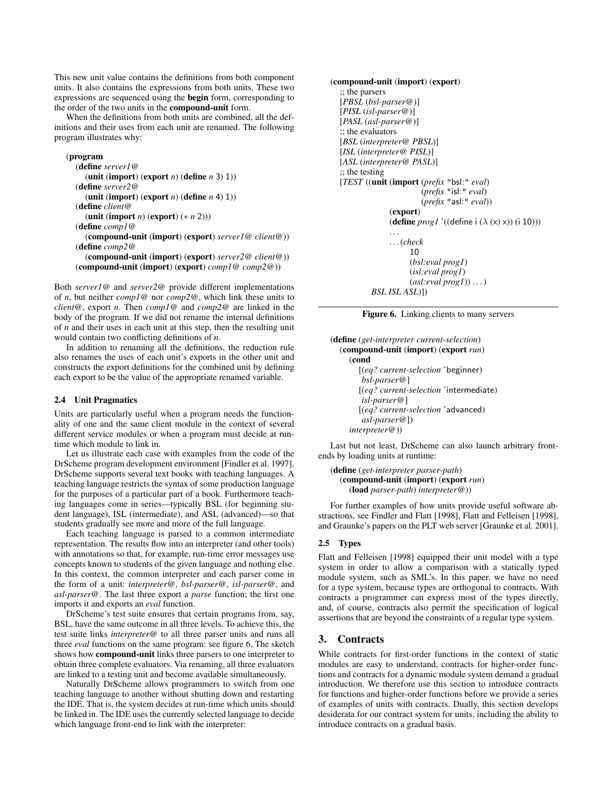This new unit value contains the definitions from both component units. It also contains the expressions from both units. These two expressions are sequenced using the begin form, corresponding to the order of the two units in the compound-unit form.

When the definitions from both units are combined, all the definitions and their uses from each unit are renamed. The following program illustrates why:

```
(program
  (define server1@
     (unit (import) (export n) (define n 3) 1))
  (define server2@
     (unit (import) (export n) (define n 4) 1))
  (define client@
     (unit (import n) (export) (∗ n 2)))
  (define comp1@
     (compound-unit (import) (export) server1@ client@))
  (define comp2@
     (compound-unit (import) (export) server2@ client@))
  (compound-unit (import) (export) comp1@ comp2@))
```
Both *server1@* and *server2@* provide different implementations of *n*, but neither *comp1@* nor *comp2@*, which link these units to *client@*, export *n*. Then *comp1@* and *comp2@* are linked in the body of the program. If we did not rename the internal definitions of *n* and their uses in each unit at this step, then the resulting unit would contain two conflicting definitions of *n*.

In addition to renaming all the definitions, the reduction rule also renames the uses of each unit's exports in the other unit and constructs the export definitions for the combined unit by defining each export to be the value of the appropriate renamed variable.

#### 2.4 Unit Pragmatics

Units are particularly useful when a program needs the functionality of one and the same client module in the context of several different service modules or when a program must decide at runtime which module to link in.

Let us illustrate each case with examples from the code of the DrScheme program development environment [Findler et al. 1997]. DrScheme supports several text books with teaching languages. A teaching language restricts the syntax of some production language for the purposes of a particular part of a book. Furthermore teaching languages come in series—typically BSL (for beginning student language), ISL (intermediate), and ASL (advanced)—so that students gradually see more and more of the full language.

Each teaching language is parsed to a common intermediate representation. The results flow into an interpreter (and other tools) with annotations so that, for example, run-time error messages use concepts known to students of the given language and nothing else. In this context, the common interpreter and each parser come in the form of a unit: *interpreter@*, *bsl-parser@*, *isl-parser@*, and *asl-parser@*. The last three export a *parse* function; the first one imports it and exports an *eval* function.

DrScheme's test suite ensures that certain programs from, say, BSL, have the same outcome in all three levels. To achieve this, the test suite links *interpreter@* to all three parser units and runs all three *eval* functions on the same program: see figure 6. The sketch shows how compound-unit links three parsers to one interpreter to obtain three complete evaluators. Via renaming, all three evaluators are linked to a testing unit and become available simultaneously.

Naturally DrScheme allows programmers to switch from one teaching language to another without shutting down and restarting the IDE. That is, the system decides at run-time which units should be linked in. The IDE uses the currently selected language to decide which language front-end to link with the interpreter:

```
(compound-unit (import) (export)
  ;; the parsers
  [PBSL (bsl-parser@)]
  [PISL (isl-parser@)]
  [PASL (asl-parser@)]
  ;; the evaluators
  [BSL (interpreter@ PBSL)]
  [ISL (interpreter@ PISL)]
  [ASL (interpreter@ PASL)]
  ;; the testing
  [TEST ((unit (import (prefix "bsl:" eval)
                          (prefix "isl:" eval)
                          (prefix "asl:" eval))
                 (export)
                 (define prog1 '((define i (λ (x) x)) (i 10)))
                 . . .
                 . . . (check
                      10
                      (bsl:eval prog1)
                      (isl:eval prog1)
                      (asl:eval prog1)) . . . )
           BSL ISL ASL)])
```


```
(define (get-interpreter current-selection)
  (compound-unit (import) (export run)
    (cond
       [(eq? current-selection 'beginner)
        bsl-parser@]
       [(eq? current-selection 'intermediate)
        isl-parser@]
       [(eq? current-selection 'advanced)
        asl-parser@])
     interpreter@))
```
Last but not least, DrScheme can also launch arbitrary frontends by loading units at runtime:

(define (*get-interpreter parser-path*) (compound-unit (import) (export *run*) (load *parser-path*) *interpreter@*))

For further examples of how units provide useful software abstractions, see Findler and Flatt [1998], Flatt and Felleisen [1998], and Graunke's papers on the PLT web server [Graunke et al. 2001].

## 2.5 Types

Flatt and Felleisen [1998] equipped their unit model with a type system in order to allow a comparison with a statically typed module system, such as SML's. In this paper, we have no need for a type system, because types are orthogonal to contracts. With contracts a programmer can express most of the types directly, and, of course, contracts also permit the specification of logical assertions that are beyond the constraints of a regular type system.

#### 3. Contracts

While contracts for first-order functions in the context of static modules are easy to understand, contracts for higher-order functions and contracts for a dynamic module system demand a gradual introduction. We therefore use this section to introduce contracts for functions and higher-order functions before we provide a series of examples of units with contracts. Dually, this section develops desiderata for our contract system for units, including the ability to introduce contracts on a gradual basis.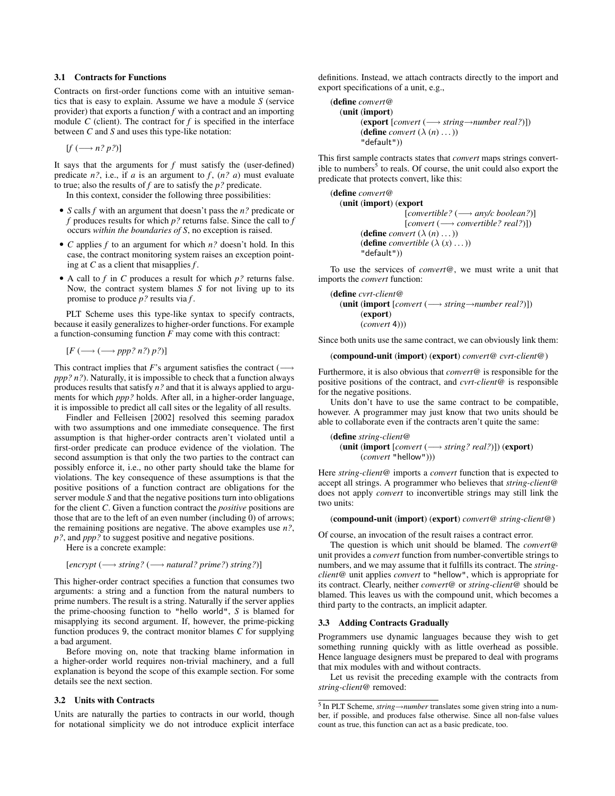## 3.1 Contracts for Functions

Contracts on first-order functions come with an intuitive semantics that is easy to explain. Assume we have a module *S* (service provider) that exports a function *f* with a contract and an importing module  $C$  (client). The contract for  $f$  is specified in the interface between *C* and *S* and uses this type-like notation:

$$
[f(\longrightarrow n? p?)]
$$

It says that the arguments for *f* must satisfy the (user-defined) predicate  $n$ ?, i.e., if *a* is an argument to *f*,  $(n$ ? *a*) must evaluate to true; also the results of *f* are to satisfy the *p?* predicate.

In this context, consider the following three possibilities:

- *S* calls *f* with an argument that doesn't pass the *n?* predicate or *f* produces results for which *p?* returns false. Since the call to *f* occurs *within the boundaries of S*, no exception is raised.
- *C* applies *f* to an argument for which *n?* doesn't hold. In this case, the contract monitoring system raises an exception pointing at *C* as a client that misapplies *f* .
- A call to *f* in *C* produces a result for which *p?* returns false. Now, the contract system blames *S* for not living up to its promise to produce *p?* results via *f* .

PLT Scheme uses this type-like syntax to specify contracts, because it easily generalizes to higher-order functions. For example a function-consuming function *F* may come with this contract:

 $[F \rightarrow \rightarrow \rightarrow \rightarrow ppp? \ n?) \ p?)]$ 

This contract implies that *F*'s argument satisfies the contract ( $\longrightarrow$ *ppp? n?*). Naturally, it is impossible to check that a function always produces results that satisfy *n?* and that it is always applied to arguments for which *ppp?* holds. After all, in a higher-order language, it is impossible to predict all call sites or the legality of all results.

Findler and Felleisen [2002] resolved this seeming paradox with two assumptions and one immediate consequence. The first assumption is that higher-order contracts aren't violated until a first-order predicate can produce evidence of the violation. The second assumption is that only the two parties to the contract can possibly enforce it, i.e., no other party should take the blame for violations. The key consequence of these assumptions is that the positive positions of a function contract are obligations for the server module *S* and that the negative positions turn into obligations for the client *C*. Given a function contract the *positive* positions are those that are to the left of an even number (including 0) of arrows; the remaining positions are negative. The above examples use *n?*, *p?*, and *ppp?* to suggest positive and negative positions.

Here is a concrete example:

[*encrypt* (−→ *string?* (−→ *natural? prime?*) *string?*)]

This higher-order contract specifies a function that consumes two arguments: a string and a function from the natural numbers to prime numbers. The result is a string. Naturally if the server applies the prime-choosing function to "hello world", *S* is blamed for misapplying its second argument. If, however, the prime-picking function produces 9, the contract monitor blames *C* for supplying a bad argument.

Before moving on, note that tracking blame information in a higher-order world requires non-trivial machinery, and a full explanation is beyond the scope of this example section. For some details see the next section.

#### 3.2 Units with Contracts

Units are naturally the parties to contracts in our world, though for notational simplicity we do not introduce explicit interface definitions. Instead, we attach contracts directly to the import and export specifications of a unit, e.g.,

```
(define convert@
  (unit (import)
        (export [convert (−→ string→number real?)])
        (define convert (\lambda(n) \dots))
        "default"))
```
This first sample contracts states that *convert* maps strings convertible to numbers<sup>5</sup> to reals. Of course, the unit could also export the predicate that protects convert, like this:

```
(define convert@
  (unit (import) (export
                      [convertible? (−→ any/c boolean?)]
                      [convert (−→ convertible? real?)])
         (define convert (\lambda(n) \dots))
         (define convertible (\lambda(x), \ldots))
         "default"))
```
To use the services of *convert@*, we must write a unit that imports the *convert* function:

```
(define cvrt-client@
  (unit (import [convert (−→ string→number real?)])
        (export)
        (convert 4)))
```
Since both units use the same contract, we can obviously link them:

(compound-unit (import) (export) *convert@ cvrt-client@*)

Furthermore, it is also obvious that *convert@* is responsible for the positive positions of the contract, and *cvrt-client@* is responsible for the negative positions.

Units don't have to use the same contract to be compatible, however. A programmer may just know that two units should be able to collaborate even if the contracts aren't quite the same:

```
(define string-client@
  (unit (import [convert (−→ string? real?)]) (export)
        (convert "hellow")))
```
Here *string-client@* imports a *convert* function that is expected to accept all strings. A programmer who believes that *string-client@* does not apply *convert* to inconvertible strings may still link the two units:

(compound-unit (import) (export) *convert@ string-client@*)

Of course, an invocation of the result raises a contract error.

The question is which unit should be blamed. The *convert@* unit provides a *convert* function from number-convertible strings to numbers, and we may assume that it fulfills its contract. The *stringclient@* unit applies *convert* to "hellow", which is appropriate for its contract. Clearly, neither *convert@* or *string-client@* should be blamed. This leaves us with the compound unit, which becomes a third party to the contracts, an implicit adapter.

## 3.3 Adding Contracts Gradually

Programmers use dynamic languages because they wish to get something running quickly with as little overhead as possible. Hence language designers must be prepared to deal with programs that mix modules with and without contracts.

Let us revisit the preceding example with the contracts from *string-client@* removed:

<sup>&</sup>lt;sup>5</sup> In PLT Scheme, *string→number* translates some given string into a number, if possible, and produces false otherwise. Since all non-false values count as true, this function can act as a basic predicate, too.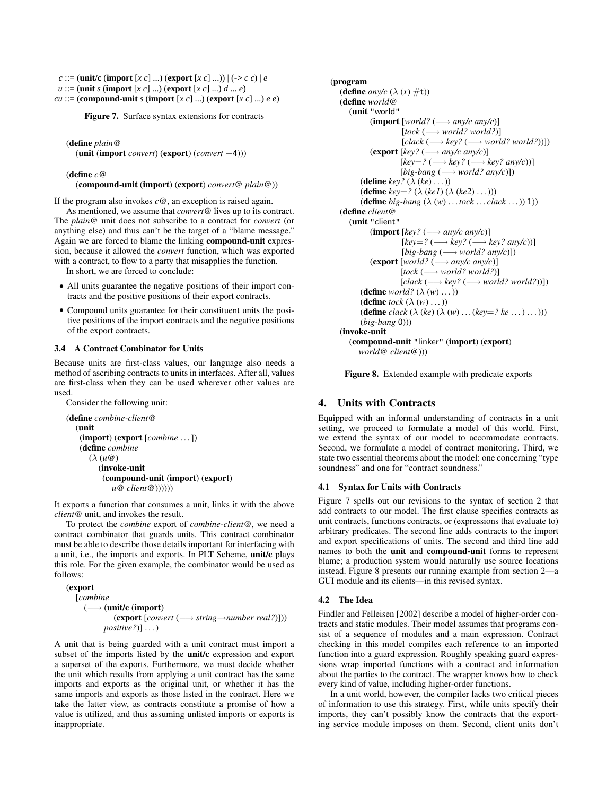```
c ::= (unit/c (import [x c] ...) (export [x c] ...)) | (-> c c) | e
 u ::= (unit s (import [x c] ...) (export [x c] ...) d ... e)
cu ::= (compound-unit s (import [x c] ...) (export [x c] ...) e e)
```
Figure 7. Surface syntax extensions for contracts

(define *plain@* (unit (import *convert*) (export) (*convert* −4)))

(define *c@*

(compound-unit (import) (export) *convert@ plain@*))

If the program also invokes *c@*, an exception is raised again.

As mentioned, we assume that *convert@* lives up to its contract. The *plain@* unit does not subscribe to a contract for *convert* (or anything else) and thus can't be the target of a "blame message." Again we are forced to blame the linking compound-unit expression, because it allowed the *convert* function, which was exported with a contract, to flow to a party that misapplies the function.

In short, we are forced to conclude:

- All units guarantee the negative positions of their import contracts and the positive positions of their export contracts.
- Compound units guarantee for their constituent units the positive positions of the import contracts and the negative positions of the export contracts.

#### 3.4 A Contract Combinator for Units

Because units are first-class values, our language also needs a method of ascribing contracts to units in interfaces. After all, values are first-class when they can be used wherever other values are used.

Consider the following unit:

```
(define combine-client@
  (unit
   (import) (export [combine . . . ])
   (define combine
      (λ (u@)
        (invoke-unit
         (compound-unit (import) (export)
            u@ client@))))))
```
It exports a function that consumes a unit, links it with the above *client@* unit, and invokes the result.

To protect the *combine* export of *combine-client@*, we need a contract combinator that guards units. This contract combinator must be able to describe those details important for interfacing with a unit, i.e., the imports and exports. In PLT Scheme, unit/c plays this role. For the given example, the combinator would be used as follows:

```
(export
  [combine
     (\longrightarrow) (unit/c (import)
              (export [convert (−→ string→number real?)]))
           positive?)] ...
```
A unit that is being guarded with a unit contract must import a subset of the imports listed by the **unit/c** expression and export a superset of the exports. Furthermore, we must decide whether the unit which results from applying a unit contract has the same imports and exports as the original unit, or whether it has the same imports and exports as those listed in the contract. Here we take the latter view, as contracts constitute a promise of how a value is utilized, and thus assuming unlisted imports or exports is inappropriate.

```
(program
   (define \textit{any/c} (\lambda (x) #t))
   (define world@
      (unit "world"
             (mport [world? (\longrightarrow any/c any/c)][tock (−→ world? world?)]
                       [clack (−→ key? (−→ world? world?))])
             (\text{export } [key? \rightarrow any/c \; any/c)][key=? (\longrightarrow key? (\longrightarrow key? any/c))][big-bang (−→ world? any/c)])
          (define key? (\lambda (ke) ...))
          (define key=? (λ (ke1) (λ (ke2) . . . )))
          (\text{define } big\text{-}bang (\lambda (w) \dots \text{tock} \dots \text{clack} \dots)) 1))(define client@
      (unit "client"
            (\text{import } [key? \ (\longrightarrow any/c \ any/c)][key=? (−→ key? (−→ key? any/c))]
                       [big-bang (\longrightarrow world? any/c)](\text{export } [world? \, (\longrightarrow any/c \, any/c)][tock (−→ world? world?)]
                       [clack (−→ key? (−→ world? world?))])
          (define world? (\lambda(w)...))(define tock (\lambda(w) \dots))
          (define clack (λ (ke) (λ (w) . . . (key=? ke . . . ) . . . )))
          (big-bang 0)))
   (invoke-unit
      (compound-unit "linker" (import) (export)
         world@ client@)))
```
Figure 8. Extended example with predicate exports

# 4. Units with Contracts

Equipped with an informal understanding of contracts in a unit setting, we proceed to formulate a model of this world. First, we extend the syntax of our model to accommodate contracts. Second, we formulate a model of contract monitoring. Third, we state two essential theorems about the model: one concerning "type soundness" and one for "contract soundness."

#### 4.1 Syntax for Units with Contracts

Figure 7 spells out our revisions to the syntax of section 2 that add contracts to our model. The first clause specifies contracts as unit contracts, functions contracts, or (expressions that evaluate to) arbitrary predicates. The second line adds contracts to the import and export specifications of units. The second and third line add names to both the unit and compound-unit forms to represent blame; a production system would naturally use source locations instead. Figure 8 presents our running example from section 2—a GUI module and its clients—in this revised syntax.

#### 4.2 The Idea

Findler and Felleisen [2002] describe a model of higher-order contracts and static modules. Their model assumes that programs consist of a sequence of modules and a main expression. Contract checking in this model compiles each reference to an imported function into a guard expression. Roughly speaking guard expressions wrap imported functions with a contract and information about the parties to the contract. The wrapper knows how to check every kind of value, including higher-order functions.

In a unit world, however, the compiler lacks two critical pieces of information to use this strategy. First, while units specify their imports, they can't possibly know the contracts that the exporting service module imposes on them. Second, client units don't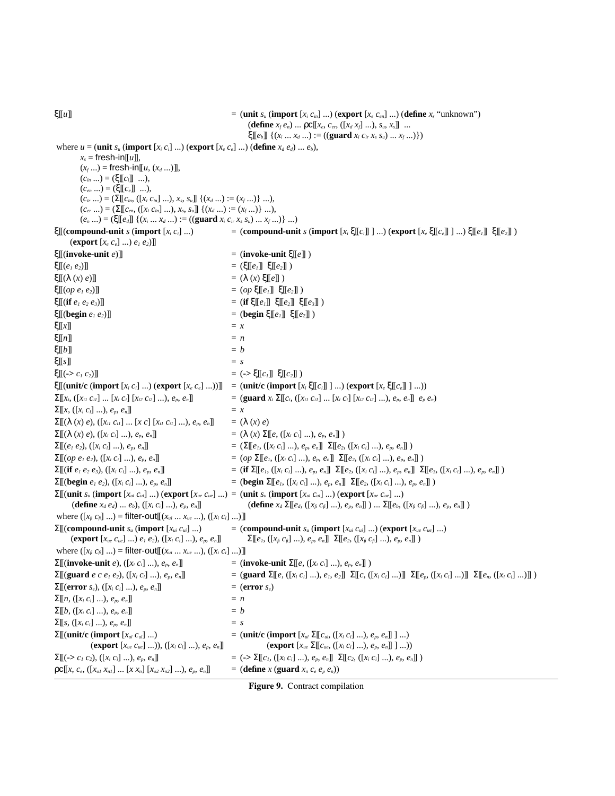$\mathbb{E}[[u]]$  = (**unit**  $s_u$  (**import**  $[x_c c_m]$  ...) (**export**  $[x_c c_{en}]$  ...) (**define**  $x_s$  "unknown")  $({\bf define } x_f e_n) \dots {\bf pc} [x_e, c_{er}, ([x_d x_f] \dots), s_u, x_s] \dots$  $\xi[\![e_b]\!]$  { $(x_i \dots x_d \dots) := (($ **guard**  $x_i c_i x_s s_u) \dots x_f \dots)$ }) where  $u = (\text{unit } s_u \text{ (import } [x_i c_i] \dots) \text{ (expert } [x_e c_e] \dots) \text{ (define } x_d e_d) \dots e_b),$  $x_s$  = fresh-in [[ $u$ ]],  $(x_f \ldots) = \text{fresh-in}[[u, (x_d \ldots)]],$  $(c_{in} ...) = (\xi[[c_i]] \dots),$  $(c_{en} ...) = (\xi[[c_e]] ...),$  $(c_{ir} ...)$  =  $(\Sigma[[c_{in}, ([x_i c_{in}]\dots), x_s, s_u]]$   $\{(x_d ...) := (x_f ...) \} ...),$  $(c_{er} \ldots) = (\sum [c_{en}, ([x_i c_{in}] \ldots), x_s, s_u]]$   $\{(x_d \ldots) := (x_f \ldots)\} \ldots),$  $(e_n \ldots) = (\xi[[e_d]] \{ (x_i \ldots x_d \ldots) := ((\text{guard } x_i \cdot c_i, x_s \cdot s_u) \ldots x_f \ldots) \} \ldots)$ ξ[[(**compound-unit** *s* (**import** [*x<sup>i</sup> ci*] ...)  $\left(\textbf{expert}\left[x_{e}\;c_{e}\right]\ldots\right)\,e_{1}\;e_{2}\right)\rrbracket$  = (**compound-unit** *s* (**import** [*x<sup>i</sup>* ξ[[*c<sup>i</sup>* ]] ] ...) (**export** [*x<sup>e</sup>* ξ[[*c<sup>e</sup>* ]] ] ...) ξ[[*e<sup>1</sup>* ]] ξ[[*e<sup>2</sup>* ]] )  $\zeta$ [[(**invoke-unit** *e*)]] = (**invoke-unit**  $\zeta$ [[*e*]] )  $\zeta[[(e_i e_2)]]$  = ( $\zeta[[e_i]]$   $\zeta[[e_2]]$ )  $\mathcal{E}[(\lambda(x) e)]$  =  $(\lambda(x) \mathcal{E}[[e]])$  $\zeta[(\rho p \ e_1 \ e_2)]$  =  $(\rho p \ \zeta[\![e_1]\!]) \ \zeta[[\![e_2]\!])$  $\zeta[(\textbf{if } e_1 e_2 e_3)]$  = (**if**  $\zeta[e_1]$   $\zeta[e_2]$   $\zeta[e_3]$ )  $\zeta$ [[(**begin**  $e_1 e_2$ )]] = (**begin**  $\zeta$ [[ $e_1$ ]]  $\zeta$ [[ $e_2$ ]] )  $\mathbf{\xi}[[x]] = x$  $\zeta[\![n]\!]$  = *n*  $\zeta[\![b]\!]$  = *b*  $\xi$ [[*s*]]  $= s$  $\zeta[[(-\xi_1 \xi_2 \xi_3 \xi_4 \xi_2 \xi_5 \xi_6 \xi_7 \xi_7 \xi_8 \xi_7 \xi_8 \xi_7 \xi_8 \xi_7 \xi_8 \xi_7 \xi_8 \xi_8 \xi_7 \xi_8 \xi_8 \xi_9 \xi_9$  $\xi$  [[(unit/c (import [ $x_i$   $c_i$ ] ...) (export [ $x_e$   $c_e$ ] ...))]] = (unit/c (import [ $x_i$   $\xi$ [[ $c_i$ ]]  $]$  ...) (export [ $x_e$   $\xi$ [[ $c_e$ ]]  $]$  ...))  $\Sigma[[x_i, ([x_{i1} c_{i1}] \dots [x_i c_i] [x_{i2} c_{i2}] \dots], e_p, e_n]] = (\text{guard } x_i \Sigma[[c_i, ([x_{i1} c_{i1}] \dots [x_i c_i] [x_{i2} c_{i2}] \dots], e_p, e_n]] \cdot e_p, e_n]$  $\Sigma[[x, ([x_i \ c_i] \ ...), e_p, e_n]] = x$  $\Sigma[[(\lambda(x), e), ([x_{i1} c_{i1}], ..., [x c]] [x_{i1} c_{i1}], ..., [e_p, e_n]] = (\lambda(x) e)$  $\Sigma[[(\lambda(x), e), ([x, c_1], ..., e_p, e_n]]$  = ( $\lambda(x) \Sigma[[e, ([x, c_1], ..., e_p, e_n]])$  $\Sigma[[(e_1 e_2), ([x_i c_i] ...), e_p, e_n]]$   $= (\Sigma[[e_i, ([x_i c_i] ...), e_p, e_n]] \Sigma[[e_2, ([x_i c_i] ...), e_p, e_n]])$  $\Sigma[[(op e_1 e_2), ([x_i c_i] ...), e_p, e_n]]$   $= (op \Sigma[[e_i, ([x_i c_i] ...), e_p, e_n]] \Sigma[[e_2, ([x_i c_i] ...), e_p, e_n]])$  $\Sigma[[(\mathbf{if} e_1 e_2 e_3), ([x_i c_i] ...), e_p, e_n]]$   $= (\mathbf{if} \Sigma[[e_i, ([x_i c_i] ...), e_p, e_n]] \Sigma[[e_2, ([x_i c_i] ...), e_p, e_n]] \Sigma[[e_3, ([x_i c_i] ...), e_p, e_n]]$  $\Sigma[[(\text{begin }e_1\ e_2), ([x_i\ c_i] \dots), e_p, e_n]] = (\text{begin } \Sigma[[e_i, ([x_i\ c_i] \dots), e_p, e_n]] \Sigma[[e_2, ([x_i\ c_i] \dots), e_p, e_n]] )$  $\Sigma$  [[(unit  $s_u$  (import  $[x_{ui} \ c_{ui}]$  ...) (export  $[x_{ue} \ c_{ue}]$  ...) = (unit  $s_u$  (import  $[x_{ui} \ c_{ui}]$  ...) (export  $[x_{ue} \ c_{ue}]$  ...)  $(\text{define } x_d \ e_d) \ ... \ e_b), (\lbrack x_i \ c_i \rbrack \ ...), \ e_p, \ e_n \rbrack$ (define  $x_d \Sigma [e_d, ([x_f c_f] ...), e_p, e_n])$ ) ...  $\Sigma [e_b, ([x_f c_f] ...), e_p, e_n])$ where  $([x_{\hat{i}} \ c_{\hat{i}}] \ ...)=$  filter-out  $[[ (x_{ui} \ ... \ x_{ue} \ ...), (x_i \ c_i] \ ...)]$  $\Sigma$ [[(**compound-unit** *s<sub><i>u*</sub></sub> (**import** [*x<sub><i>ui</sub> c<sub><i>ui*</sub>] ...)</sub></sub>  $(\textbf{expert} [x_{ue} c_{ue}] ...) e_1 e_2), (\{x_i c_i\} ...), e_p, e_n]$  = (**compound-unit** *su* (**import** [*xui cui*] ...) (**export** [*xue cue*] ...)  $\Sigma[\![e_I, ([x_j, c_j], \ldots), e_p, e_n]\!]$   $\Sigma[\![e_2, ([x_j, c_j], \ldots), e_p, e_n]\!]$ ) where  $([x_j, c_j], ...)$  = filter-out  $[[(x_u, ..., x_{ue}, ...,), ([x_i, c_i], ...)]$  $\Sigma[[(\text{invoke-unit } e), ([x_i c_i] ...), e_p, e_n]] = (\text{invoke-unit } \Sigma[[e, ([x_i c_i] ...), e_p, e_n]])$  $\Sigma[[$ (guard e c e<sub>l</sub> e<sub>2</sub>), ([x<sub>i</sub> c<sub>i</sub>] ...), e<sub>p</sub>, e<sub>n</sub>]  $=$  (guard  $\Sigma[[e, ([x_i c_i] \dots), e_i, e_2]]$   $\Sigma[[c, ([x_i c_i] \dots)]]$   $\Sigma[[e_p, ([x_i c_i] \dots)]]$   $\Sigma[[e_p, ([x_i c_i] \dots)]]$  $\Sigma$ [[(**error** *s*<sub>*e*</sub>), ([*x<sub>i</sub> c<sub>i</sub>*] ...), *e<sub>p</sub>*, *e<sub>n</sub>*]] = (**error** *s*<sub>*e*</sub>)  $\Sigma[[n, ([x_i c_i] ...), e_p, e_n]] = n$  $\Sigma[[b, ([x_i c_i] \ldots), e_p, e_n]]$  = *b*  $\Sigma[[s, ([x_i \ c_i] \dots), e_p, e_n]]$  = *s*  $\Sigma$ [[(**unit/c** (**import**  $[x_{ui} c_{ui}]$  ...) (**export** [*xue cue*] ...)), ([*x<sup>i</sup> ci*] ...), *ep*, *e<sup>n</sup>* ]]  $=$  (**unit/c** (**import**  $[x_{ui} \Sigma[[c_{ui}, ([x_i c_i] \ldots), e_p, e_n]]] \ldots)$  $(\text{expert } [x_{ue} \Sigma[[c_{ue}, ([x_i c_i] \ldots), e_p, e_n]] \ldots))$  $\Sigma[[(-&c_1 c_2), ([x_i c_i] ...), e_p, e_n]]$   $= (-&\Sigma[[c_i, ([x_i c_i] ...), e_p, e_n]] \Sigma[[c_2, ([x_i c_i] ...), e_p, e_n]])$  $\text{pcl}[x, c_e, ([x_{o1} x_{n1}] ... [x x_n] [x_{o2} x_{n2}] ...), e_p, e_n]] = (\text{define } x \text{ (guard } x_n c_e e_p e_n))$ 

Figure 9. Contract compilation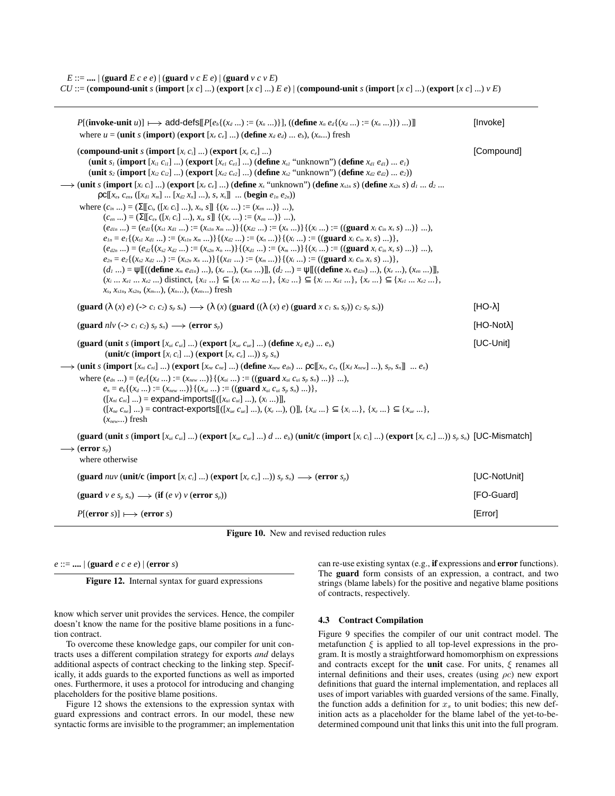*E* ::= **....** | (**guard** *E c e e*) | (**guard** *v c E e*) | (**guard** *v c v E*) CU ::= (compound-unit s (import [x c] ...) (export [x c] ...) E e) | (compound-unit s (import [x c] ...) (export [x c] ...) v E)

| $P[(\text{invoke-unit } u)] \longmapsto \text{add-defs}[[P[e_b\{(x_a \dots) := (x_n \dots)\}], ((\text{define } x_n e_d\{(x_a \dots) := (x_n \dots)\}) \dots]]$<br>where $u = (unit s (import) (export [x_e c_e] ) (define x_d e_d)  e_b), (x_n)$ fresh                                                                                                                                                                                                                                                                                                                                                                                                                                                                                                                                                                                                                                                                                                                                                                                                                                                                                                                                                                                                                                                                                                                                                                                                                                                                                                                                                                                                                                                                                                                                                        | [Invoke]               |
|----------------------------------------------------------------------------------------------------------------------------------------------------------------------------------------------------------------------------------------------------------------------------------------------------------------------------------------------------------------------------------------------------------------------------------------------------------------------------------------------------------------------------------------------------------------------------------------------------------------------------------------------------------------------------------------------------------------------------------------------------------------------------------------------------------------------------------------------------------------------------------------------------------------------------------------------------------------------------------------------------------------------------------------------------------------------------------------------------------------------------------------------------------------------------------------------------------------------------------------------------------------------------------------------------------------------------------------------------------------------------------------------------------------------------------------------------------------------------------------------------------------------------------------------------------------------------------------------------------------------------------------------------------------------------------------------------------------------------------------------------------------------------------------------------------------|------------------------|
| (compound-unit s (import $[x_i c_i] $ ) (export $[x_e c_e] $ )<br>(unit $s_i$ (import $[x_{ii} c_{ii}]$ ) (export $[x_{e1} c_{e1}]$ ) (define $x_{si}$ "unknown") (define $x_{di} e_{di}$ ) $e_i$ )<br>(unit $s_2$ (import $[x_2 c_{i2}]$ ) (export $[x_{e2} c_{e2}]$ ) (define $x_{s2}$ "unknown") (define $x_{d2} e_{d2}$ ) $e_2$ ))<br>$\longrightarrow$ (unit s (import [x <sub>i</sub> c <sub>i</sub> ] ) (export [x <sub>e</sub> c <sub>e</sub> ] ) (define x <sub>s</sub> "unknown") (define x <sub>sln</sub> s) (define x <sub>sln</sub> s) d <sub>1</sub> d <sub>2</sub><br>$\text{DC}[[x_e, c_{en}, ([x_{d1} x_m]  [x_{d2} x_n] ), s, x_s]]  (begin e_{\text{gin}} e_{\text{Ln}} e_{\text{dn}})$<br>where $(c_{in} )=\left(\sum [c_{i},([x_{i},c_{i}] ),x_{i},s]\right)$ $\{(x_{i} ):=(x_{en} )\} $<br>$(c_{en} ) = (\sum [c_e, ([x_i c_i] ), x_s, s]] \{(x_e ) := (x_{en} )\} ),$<br>$(e_{d1n})= (e_{d1}\{(x_{s1}x_{d1}):=(x_{s1n}x_{m})\}\{(x_{d2}):=(x_{n})\}\{(x_i):=((\text{guard }x_i\ c_{in}\ x_s\ s))\}\ ),$<br>$e_{1n} = e_1\{(x_{s1} x_{d1} ): = (x_{s1n} x_m )\}\{(x_{d2} ): = (x_n )\}\{(x_i ): = ((\text{guard } x_i c_{in} x_s s) )\},$<br>$(e_{d2n})= (e_{d2}\{(x_{s2}x_{d2}):=(x_{s2n}x_{n})\}\{(x_{d1}):=(x_{m})\}\{(x_i):=((\text{guard }x_i\ c_{in}x_s\ s)\ )\}),$<br>$e_{2n} = e_2\{(x_{s2}, x_{d2}, ) := (x_{s2n}, x_n )\}\{(x_{d1}, ) := (x_m, ) \}\{(x_i, ) := ((\text{guard } x_i \ c_{in} \ x_s \ s) )\},\$<br>$(d_1 )=\psi[[((\text{define }x_m e_{d1n}) ),(x_e ),(x_{en} )]$ , $(d_2 )=\psi[[((\text{define }x_n e_{d2n}) ),(x_e ),(x_{en} )]]$<br>$(x_i x_{e1} x_{e2} )$ distinct, $\{x_{i1}\}\subseteq \{x_i x_{e2}\}, \{x_{i2}\}\subseteq \{x_i x_{e1}\}, \{x_{e}}\subseteq \{x_{e1} x_{e2}\}$<br>$x_s$ , $x_{sln}$ , $x_{s2n}$ , $(x_m)$ , $(x_n)$ , $(x_{en})$ fresh | [Compound]             |
| (guard $(\lambda(x) e)$ (> c <sub>1</sub> c <sub>2</sub> ) $s_p s_n$ ) $\longrightarrow (\lambda(x)$ (guard $((\lambda(x) e)$ (guard $x c_1 s_n s_p)$ ) $c_2 s_p s_n$ ))                                                                                                                                                                                                                                                                                                                                                                                                                                                                                                                                                                                                                                                                                                                                                                                                                                                                                                                                                                                                                                                                                                                                                                                                                                                                                                                                                                                                                                                                                                                                                                                                                                       | [HO-λ]                 |
| (guard nlv (-> $c_1 c_2$ ) $s_p s_n$ ) $\longrightarrow$ (error $s_p$ )                                                                                                                                                                                                                                                                                                                                                                                                                                                                                                                                                                                                                                                                                                                                                                                                                                                                                                                                                                                                                                                                                                                                                                                                                                                                                                                                                                                                                                                                                                                                                                                                                                                                                                                                        | [HO-Not <sub>λ</sub> ] |
| (guard (unit s (import $[x_{ui}, c_{ui}]$ ) (export $[x_{ue}, c_{ue}]$ ) (define $x_d e_d$ ) $e_b$ )<br>(unit/c (import $[x_i c_i] $ ) (export $[x_e c_e] $ )) $s_p s_n$ )                                                                                                                                                                                                                                                                                                                                                                                                                                                                                                                                                                                                                                                                                                                                                                                                                                                                                                                                                                                                                                                                                                                                                                                                                                                                                                                                                                                                                                                                                                                                                                                                                                     | [UC-Unit]              |
| $\longrightarrow$ (unit s (import [x <sub>ni</sub> C <sub>ni</sub> ] ) (export [x <sub>ne</sub> C <sub>ne</sub> ] ) (define x <sub>new</sub> e <sub>dn</sub> ) $\rho C[[x_e, c_e, ([x_d x_{new} \ldots , x_s, s_n]] \ldots e_n)$                                                                                                                                                                                                                                                                                                                                                                                                                                                                                                                                                                                                                                                                                                                                                                                                                                                                                                                                                                                                                                                                                                                                                                                                                                                                                                                                                                                                                                                                                                                                                                               |                        |
| where $(e_{dn} )= (e_d\{(x_d ):=(x_{new} )\}\{(x_{ui} ):=((\text{guard }x_{ui} \ c_{ui} \ s_p \ s_n) )\} ),$<br>$e_n = e_b \{(x_d \ldots) := (x_{new} \ldots)\}\{(x_{ui} \ldots) := ((\text{guard } x_{ui} \ c_{ui} \ s_p \ s_n) \ldots)\},\$<br>$([x_{ni}, c_{ni}] )=$ expand-imports $[[([x_{ui}, c_{ui}] ), (x_i )]]$ ,<br>$([x_{ne} c_{ne}] )=$ contract-exports $[[(x_{ue} c_{ue}] ), (x_{e} ), 0]], {x_{ui}}  \subseteq {x_i }, {x_{e} } \subseteq {x_{ue} }$<br>$(x_{new} )$ fresh                                                                                                                                                                                                                                                                                                                                                                                                                                                                                                                                                                                                                                                                                                                                                                                                                                                                                                                                                                                                                                                                                                                                                                                                                                                                                                                      |                        |
| (guard (unit s (import [ $x_{ui}$ $c_{ui}$ ] ) (export [ $x_{ue}$ $c_{ue}$ ] ) $d$ $e_b$ ) (unit/c (import [ $x_i$ $c_i$ ] ) (export [ $x_e$ $c_e$ ] )) $s_p$ $s_n$ ) [UC-Mismatch]<br>$\longrightarrow$ (error $s_p$ )<br>where otherwise                                                                                                                                                                                                                                                                                                                                                                                                                                                                                                                                                                                                                                                                                                                                                                                                                                                                                                                                                                                                                                                                                                                                                                                                                                                                                                                                                                                                                                                                                                                                                                     |                        |
| (guard nuv (unit/c (import [ $x_i c_i$ ] ) (export [ $x_e c_e$ ] )) $s_p s_n$ ) $\longrightarrow$ (error $s_p$ )                                                                                                                                                                                                                                                                                                                                                                                                                                                                                                                                                                                                                                                                                                                                                                                                                                                                                                                                                                                                                                                                                                                                                                                                                                                                                                                                                                                                                                                                                                                                                                                                                                                                                               | [UC-NotUnit]           |
| (guard $v e s_p s_n$ ) $\longrightarrow$ (if $(e v) v$ (error $s_p$ ))                                                                                                                                                                                                                                                                                                                                                                                                                                                                                                                                                                                                                                                                                                                                                                                                                                                                                                                                                                                                                                                                                                                                                                                                                                                                                                                                                                                                                                                                                                                                                                                                                                                                                                                                         | [FO-Guard]             |
| $P[(error s)] \longmapsto (error s)$                                                                                                                                                                                                                                                                                                                                                                                                                                                                                                                                                                                                                                                                                                                                                                                                                                                                                                                                                                                                                                                                                                                                                                                                                                                                                                                                                                                                                                                                                                                                                                                                                                                                                                                                                                           | [Error]                |

Figure 10. New and revised reduction rules

*e* ::= **....** | (**guard** *e c e e*) | (**error** *s*)

Figure 12. Internal syntax for guard expressions

know which server unit provides the services. Hence, the compiler doesn't know the name for the positive blame positions in a function contract.

To overcome these knowledge gaps, our compiler for unit contracts uses a different compilation strategy for exports *and* delays additional aspects of contract checking to the linking step. Specifically, it adds guards to the exported functions as well as imported ones. Furthermore, it uses a protocol for introducing and changing placeholders for the positive blame positions.

Figure 12 shows the extensions to the expression syntax with guard expressions and contract errors. In our model, these new syntactic forms are invisible to the programmer; an implementation

#### 4.3 Contract Compilation

of contracts, respectively.

Figure 9 specifies the compiler of our unit contract model. The metafunction  $\xi$  is applied to all top-level expressions in the program. It is mostly a straightforward homomorphism on expressions and contracts except for the unit case. For units,  $\xi$  renames all internal definitions and their uses, creates (using  $\rho c$ ) new export definitions that guard the internal implementation, and replaces all uses of import variables with guarded versions of the same. Finally, the function adds a definition for  $x_s$  to unit bodies; this new definition acts as a placeholder for the blame label of the yet-to-bedetermined compound unit that links this unit into the full program.

can re-use existing syntax (e.g., if expressions and error functions). The guard form consists of an expression, a contract, and two strings (blame labels) for the positive and negative blame positions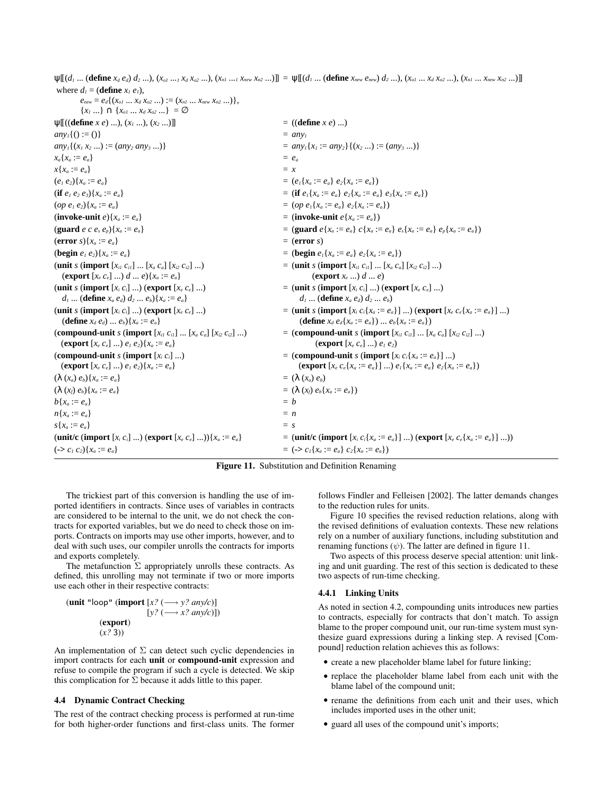$\psi[[(d_1...(\text{define }x_d e_d) d_2...), (x_{o1}..., x_d x_{o2}...), (x_{n1}..., x_{new} x_{n2}...)]$  =  $\psi[[(d_1...(\text{define }x_{new} e_{new}) d_2...), (x_{o1}... x_d x_{o2}...), (x_{n1}... x_{new} x_{n2}...)]$ where  $d_1 = (\text{define } x_1 e_1)$ ,  $e_{new} = e_d \{ (x_{o1} \dots x_d x_{o2} \dots) := (x_{n1} \dots x_{new} x_{n2} \dots) \},$ {*x1* ...} ∩ {*xo1* ... *x<sup>d</sup> xo2* ...} = ∅  $\psi$ <sup>[[</sup>((**define** *x e*) ...), (*x<sub>1</sub>* ...), (*x*<sub>2</sub> ...)] = ((**define** *x e*) ...)  $any_1$ {() := ()} =  $any_1$  $a_n v_1\{(x_1, x_2, \ldots) := (a_n v_2 a_n v_3 \ldots)\}$  =  $a_n v_1\{(x_2, \ldots) = (a_n v_3 \ldots)\}$  $x_a\{x_a := e_a\}$  = *e<sub>a</sub>*  $x\{x_a := e_a\}$  = *x*  $(e_i e_2) \{x_a := e_a\}$  =  $(e_i \{x_a := e_a\} e_2 \{x_a := e_a\})$ (if  $e_1 e_2 e_3$  { $x_a := e_a$ }<br>= (if  $e_1(x_a := e_a) e_2(x_a := e_a) e_3(x_a := e_a)$ )  $(op \ e_1 \ e_2){x_a := e_a}$  =  $(op \ e_1{x_a := e_a} \ e_2{x_a := e_a})$ (**invoke-unit**  $e$ }{ $x_a := e_a$ } = (**invoke-unit**  $e$ { $x_a := e_a$ }) (guard e c e, e<sub>p</sub>){ $x_a := e_a$ }  $\qquad =$  (guard e{ $x_a := e_a$ }  $c\{x_a := e_a\}$   $e_s\{x_a := e_a\}$   $e_p\{x_a := e_a\}$ )  $(\text{error } s) \{x_a := e_a\}$  = (error *s*) **(begin**  $e_1 \{x_a := e_a\}$ ) = (**begin**  $e_1 \{x_a := e_a\}$ ) = (**begin**  $e_1 \{x_a := e_a\}$ ) (**unit** *s* (**import** [*xi1 ci1*] ... [*x<sup>a</sup> ca*] [*xi2 ci2*] ...) (**export**  $[x_e c_e] ...$ )  $d ... e$   $(x_a := e_a]$  $=$  (**unit** *s* (**import** [ $x_{i1}$  *c*<sub>*i1*</sub>] ... [ $x_a$  *c*<sub>*a*</sub>] [ $x_{i2}$  *c*<sub>*i2*] ...)</sub> (**export** *xe* ...) *d* ... *e*) (**unit** *s* (**import** [*x<sup>i</sup> ci*] ...) (**export** [*x<sup>e</sup> ce*] ...) *d*<sub>1</sub> ... (**define**  $x_a e_d$ )  $d_2$  ...  $e_b$ ){ $x_a := e_a$ } = (**unit** *s* (**import** [*x<sup>i</sup> ci*] ...) (**export** [*x<sup>e</sup> ce*] ...) *d1* ... (**define** *x<sup>a</sup> ed*) *d2* ... *eb*) (**unit** *s* (**import** [*x<sup>i</sup> ci*] ...) (**export** [*x<sup>e</sup> ce*] ...)  $(**define** x<sub>d</sub> e<sub>d</sub>) ... e<sub>b</sub>$  $(x<sub>a</sub>) = e<sub>a</sub>$  $=$  (**unit** *s* (**import**  $[x_i c_i \{x_a := e_a\}]$  ...) (**export**  $[x_e c_e \{x_a := e_a\}]$  ...) (**define**  $x_d e_d \{x_a := e_a\}$ ) ...  $e_b \{x_a := e_a\}$ ) (**compound-unit** *s* (**import**  $[x_{i1} \ c_{i1}]$  ...  $[x_{a} \ c_{a}]$   $[x_{i2} \ c_{i2}]$  ...) **(export**  $[x_e \ c_e] \ ...$ )  $e_1 \ e_2$   $\{x_a := e_a\}$  $=$  (**compound-unit** *s* (**import**  $[x_{i1} \ c_{i1}] \ ... [x_{a} \ c_{a}] [x_{i2} \ c_{i2}] ...$ ) (**export** [*x<sup>e</sup> ce*] ...) *e<sup>1</sup> e2*) (**compound-unit** *s* (**import**  $[x_i c_i]$  ...)  $(**expert** [x<sub>e</sub> c<sub>e</sub>] ...)  
  $e_1 e_2$ ]{ $x_a := e_a$ }$  $=$  (**compound-unit** *s* (**import**  $[x_i c_i \{x_a := e_a\}]$  ...) (**export**  $[x_e c_e\{x_a := e_a\}]$  ...)  $e_1\{x_a := e_a\} e_2\{x_a := e_a\})$  $(\lambda (x_a) e_b) \{x_a := e_a\}$  =  $(\lambda (x_a) e_b)$  $(\lambda(x_i) e_b\{x_a := e_a\})$ <br>=  $(\lambda(x_i) e_b\{x_a := e_a\})$  $b\{x_a := e_a\}$  = *b*  $n\{x_a := e_a\}$  = *n*  $s\{x_a := e_a\}$  = *s* (unit/c (import  $[x_i c_i]$  ...) (export  $[x_e c_e]$  ...))  $\{x_a := e_a\}$  = (unit/c (import  $[x_i c_i [x_a := e_a]]$  ...) (export  $[x_e c_e \{x_a := e_a\}]$  ...))  $($ ->  $c_1$   $c_2$  $\{x_a := e_a\}$   $($ ->  $c_1\{x_a := e_a\}$   $c_2\{x_a := e_a\})$ 

Figure 11. Substitution and Definition Renaming

The trickiest part of this conversion is handling the use of imported identifiers in contracts. Since uses of variables in contracts are considered to be internal to the unit, we do not check the contracts for exported variables, but we do need to check those on imports. Contracts on imports may use other imports, however, and to deal with such uses, our compiler unrolls the contracts for imports and exports completely.

The metafunction  $\Sigma$  appropriately unrolls these contracts. As defined, this unrolling may not terminate if two or more imports use each other in their respective contracts:

```
(unit "loop" (import [x? \rightarrow y? \text{ any/c}][y? (\longrightarrow x? \text{ any/c})])(export)
            (x? 3))
```
An implementation of  $\Sigma$  can detect such cyclic dependencies in import contracts for each unit or compound-unit expression and refuse to compile the program if such a cycle is detected. We skip this complication for  $\Sigma$  because it adds little to this paper.

## 4.4 Dynamic Contract Checking

The rest of the contract checking process is performed at run-time for both higher-order functions and first-class units. The former follows Findler and Felleisen [2002]. The latter demands changes to the reduction rules for units.

Figure 10 specifies the revised reduction relations, along with the revised definitions of evaluation contexts. These new relations rely on a number of auxiliary functions, including substitution and renaming functions  $(\psi)$ . The latter are defined in figure 11.

Two aspects of this process deserve special attention: unit linking and unit guarding. The rest of this section is dedicated to these two aspects of run-time checking.

#### 4.4.1 Linking Units

As noted in section 4.2, compounding units introduces new parties to contracts, especially for contracts that don't match. To assign blame to the proper compound unit, our run-time system must synthesize guard expressions during a linking step. A revised [Compound] reduction relation achieves this as follows:

- create a new placeholder blame label for future linking;
- replace the placeholder blame label from each unit with the blame label of the compound unit;
- rename the definitions from each unit and their uses, which includes imported uses in the other unit;
- guard all uses of the compound unit's imports;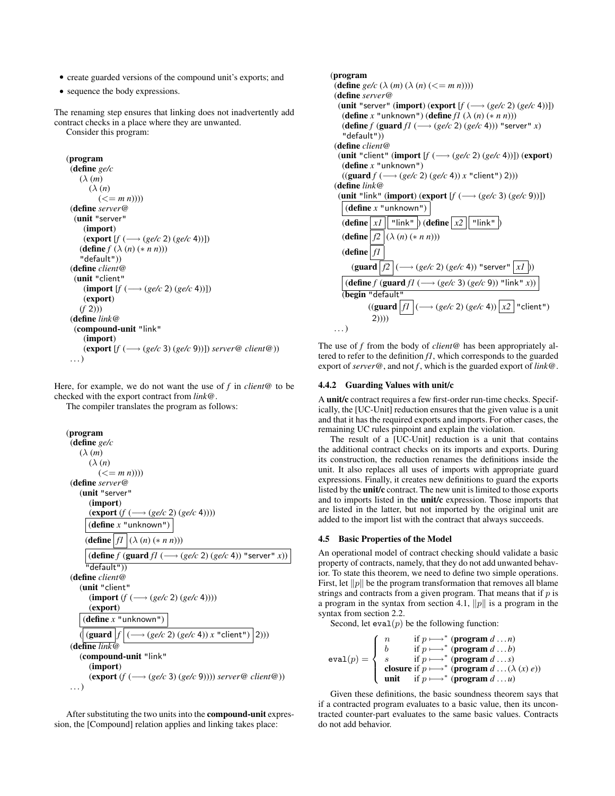- create guarded versions of the compound unit's exports; and
- sequence the body expressions.

The renaming step ensures that linking does not inadvertently add contract checks in a place where they are unwanted. Consider this program:

(program (define *ge/c* (λ (*m*) (λ (*n*)  $(<= m n))$ ) (define *server@* (unit "server" (import) (export [*f* (−→ (*ge/c* 2) (*ge/c* 4))]) (define *f* (λ (*n*) (∗ *n n*))) "default")) (define *client@* (unit "client"  $(\mathbf{import}[f(\longrightarrow (ge/c\ 2) (ge/c\ 4))]$ (export) (*f* 2))) (define *link@* (compound-unit "link" (import) (export [*f* (−→ (*ge/c* 3) (*ge/c* 9))]) *server@ client@*)) . . . )

Here, for example, we do not want the use of *f* in *client@* to be checked with the export contract from *link@*.

The compiler translates the program as follows:

```
(program
 (define ge/c
    (λ (m)
       (λ (n)
          (<= m n)))
 (define server@
    (unit "server"
       (import)
       (export (f (−→ (ge/c 2) (ge/c 4))))
       (define x "unknown")
      (\text{define } |f1 | (\lambda (n) (* n n)))(define f (guard fl (\longrightarrow (ge/c 2) (ge/c 4)) "server" x))
       "default"))
 (define client@
    (unit "client"
       (import (f (−→ (ge/c 2) (ge/c 4))))
       (export)
     (define x "unknown")
      \left| \frac{\text{(guard } |f| \left( \longrightarrow \text{(ge/c 2)} \text{ (ge/c 4)} \right) x \text{ "client"} \right)} \right| 2)))
 (define link@
    (compound-unit "link"
       (import)
       (export (f (−→ (ge/c 3) (ge/c 9)))) server@ client@))
 . . . )
```
After substituting the two units into the compound-unit expression, the [Compound] relation applies and linking takes place:



The use of *f* from the body of *client@* has been appropriately altered to refer to the definition *f1*, which corresponds to the guarded export of *server@*, and not *f* , which is the guarded export of *link@*.

## 4.4.2 Guarding Values with unit/c

A unit/c contract requires a few first-order run-time checks. Specifically, the [UC-Unit] reduction ensures that the given value is a unit and that it has the required exports and imports. For other cases, the remaining UC rules pinpoint and explain the violation.

The result of a [UC-Unit] reduction is a unit that contains the additional contract checks on its imports and exports. During its construction, the reduction renames the definitions inside the unit. It also replaces all uses of imports with appropriate guard expressions. Finally, it creates new definitions to guard the exports listed by the unit/c contract. The new unit is limited to those exports and to imports listed in the unit/c expression. Those imports that are listed in the latter, but not imported by the original unit are added to the import list with the contract that always succeeds.

#### 4.5 Basic Properties of the Model

An operational model of contract checking should validate a basic property of contracts, namely, that they do not add unwanted behavior. To state this theorem, we need to define two simple operations. First, let  $||p||$  be the program transformation that removes all blame strings and contracts from a given program. That means that if  $p$  is a program in the syntax from section 4.1,  $||p||$  is a program in the syntax from section 2.2.

Second, let  $eval(p)$  be the following function:

 $\mathtt{eval}(p)=$  $\sqrt{2}$  $\int$  $\downarrow$  $n$  if  $p \longmapsto^*$  (**program**  $d \dots n$ ) *b* if  $p \mapsto^*$  (**program** *d* . . . *b*)  $s$  if  $p \mapsto^*$  (**program**  $d \dots s$ ) closure if  $p \mapsto^*$  (program  $d \dots (\lambda (x) e)$ ) **unit** if  $p \mapsto^*$  (**program** *d* . . . *u*)

Given these definitions, the basic soundness theorem says that if a contracted program evaluates to a basic value, then its uncontracted counter-part evaluates to the same basic values. Contracts do not add behavior.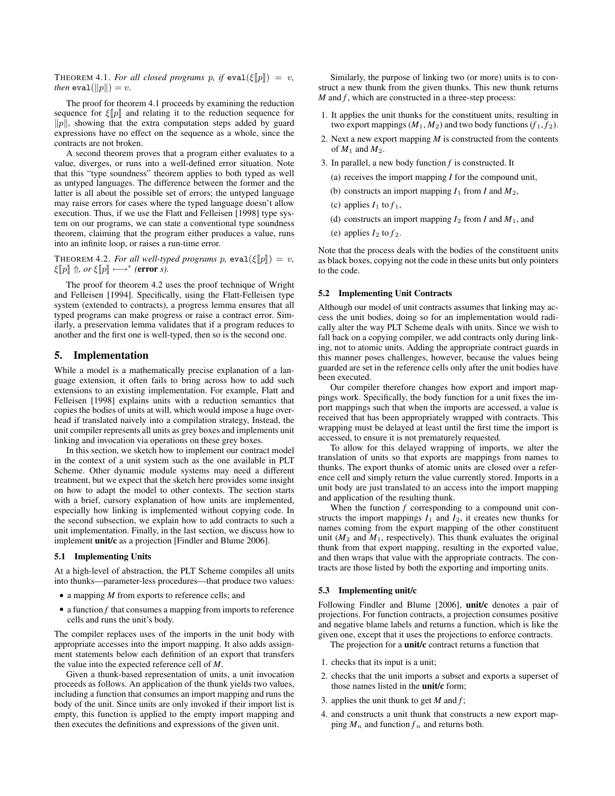THEOREM 4.1. *For all closed programs* p, if  $eval(\xi[\![p]\!]) = v$ , *then*  $eval(\|p\|) = v$ .

The proof for theorem 4.1 proceeds by examining the reduction sequence for  $\xi[p]$  and relating it to the reduction sequence for  $\|p\|$ , showing that the extra computation steps added by guard expressions have no effect on the sequence as a whole, since the contracts are not broken.

A second theorem proves that a program either evaluates to a value, diverges, or runs into a well-defined error situation. Note that this "type soundness" theorem applies to both typed as well as untyped languages. The difference between the former and the latter is all about the possible set of errors; the untyped language may raise errors for cases where the typed language doesn't allow execution. Thus, if we use the Flatt and Felleisen [1998] type system on our programs, we can state a conventional type soundness theorem, claiming that the program either produces a value, runs into an infinite loop, or raises a run-time error.

THEOREM 4.2. *For all well-typed programs*  $p$ ,  $eval(\xi[\![p]\!]) = v$ ,  $\mathcal{E}[p] \Uparrow$ , or  $\mathcal{E}[p] \longmapsto^*$  (error *s*).

The proof for theorem 4.2 uses the proof technique of Wright and Felleisen [1994]. Specifically, using the Flatt-Felleisen type system (extended to contracts), a progress lemma ensures that all typed programs can make progress or raise a contract error. Similarly, a preservation lemma validates that if a program reduces to another and the first one is well-typed, then so is the second one.

## 5. Implementation

While a model is a mathematically precise explanation of a language extension, it often fails to bring across how to add such extensions to an existing implementation. For example, Flatt and Felleisen [1998] explains units with a reduction semantics that copies the bodies of units at will, which would impose a huge overhead if translated naively into a compilation strategy, Instead, the unit compiler represents all units as grey boxes and implements unit linking and invocation via operations on these grey boxes.

In this section, we sketch how to implement our contract model in the context of a unit system such as the one available in PLT Scheme. Other dynamic module systems may need a different treatment, but we expect that the sketch here provides some insight on how to adapt the model to other contexts. The section starts with a brief, cursory explanation of how units are implemented, especially how linking is implemented without copying code. In the second subsection, we explain how to add contracts to such a unit implementation. Finally, in the last section, we discuss how to implement **unit/c** as a projection [Findler and Blume 2006].

## 5.1 Implementing Units

At a high-level of abstraction, the PLT Scheme compiles all units into thunks—parameter-less procedures—that produce two values:

- a mapping *M* from exports to reference cells; and
- a function *f* that consumes a mapping from imports to reference cells and runs the unit's body.

The compiler replaces uses of the imports in the unit body with appropriate accesses into the import mapping. It also adds assignment statements below each definition of an export that transfers the value into the expected reference cell of *M*.

Given a thunk-based representation of units, a unit invocation proceeds as follows. An application of the thunk yields two values, including a function that consumes an import mapping and runs the body of the unit. Since units are only invoked if their import list is empty, this function is applied to the empty import mapping and then executes the definitions and expressions of the given unit.

Similarly, the purpose of linking two (or more) units is to construct a new thunk from the given thunks. This new thunk returns  $M$  and  $f$ , which are constructed in a three-step process:

- 1. It applies the unit thunks for the constituent units, resulting in two export mappings  $(M_1, M_2)$  and two body functions  $(f_1, f_2)$ .
- 2. Next a new export mapping *M* is constructed from the contents of  $M_1$  and  $M_2$ .
- 3. In parallel, a new body function *f* is constructed. It
	- (a) receives the import mapping *I* for the compound unit,
	- (b) constructs an import mapping  $I_1$  from *I* and  $M_2$ ,
	- (c) applies  $I_1$  to  $f_1$ ,
	- (d) constructs an import mapping  $I_2$  from *I* and  $M_1$ , and
	- (e) applies  $I_2$  to  $f_2$ .

Note that the process deals with the bodies of the constituent units as black boxes, copying not the code in these units but only pointers to the code.

#### 5.2 Implementing Unit Contracts

Although our model of unit contracts assumes that linking may access the unit bodies, doing so for an implementation would radically alter the way PLT Scheme deals with units. Since we wish to fall back on a copying compiler, we add contracts only during linking, not to atomic units. Adding the appropriate contract guards in this manner poses challenges, however, because the values being guarded are set in the reference cells only after the unit bodies have been executed.

Our compiler therefore changes how export and import mappings work. Specifically, the body function for a unit fixes the import mappings such that when the imports are accessed, a value is received that has been appropriately wrapped with contracts. This wrapping must be delayed at least until the first time the import is accessed, to ensure it is not prematurely requested.

To allow for this delayed wrapping of imports, we alter the translation of units so that exports are mappings from names to thunks. The export thunks of atomic units are closed over a reference cell and simply return the value currently stored. Imports in a unit body are just translated to an access into the import mapping and application of the resulting thunk.

When the function *f* corresponding to a compound unit constructs the import mappings  $I_1$  and  $I_2$ , it creates new thunks for names coming from the export mapping of the other constituent unit  $(M_2 \text{ and } M_1, \text{ respectively})$ . This thunk evaluates the original thunk from that export mapping, resulting in the exported value, and then wraps that value with the appropriate contracts. The contracts are those listed by both the exporting and importing units.

#### 5.3 Implementing unit/c

Following Findler and Blume [2006], unit/c denotes a pair of projections. For function contracts, a projection consumes positive and negative blame labels and returns a function, which is like the given one, except that it uses the projections to enforce contracts.

The projection for a **unit/c** contract returns a function that

- 1. checks that its input is a unit;
- 2. checks that the unit imports a subset and exports a superset of those names listed in the unit/c form;
- 3. applies the unit thunk to get *M* and *f* ;
- 4. and constructs a unit thunk that constructs a new export mapping  $M_n$  and function  $f_n$  and returns both.